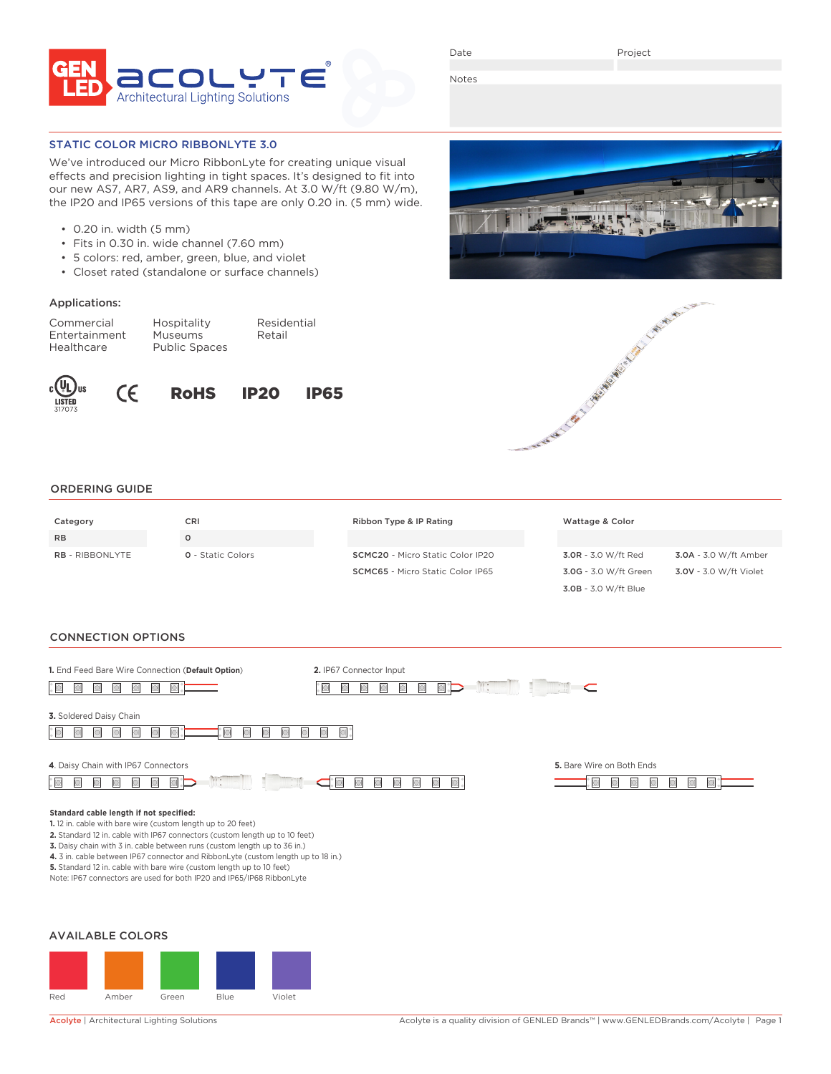

Date

Project

Notes

# STATIC COLOR MICRO RIBBONLYTE 3.0

We've introduced our Micro RibbonLyte for creating unique visual effects and precision lighting in tight spaces. It's designed to fit into our new AS7, AR7, AS9, and AR9 channels. At 3.0 W/ft (9.80 W/m), the IP20 and IP65 versions of this tape are only 0.20 in. (5 mm) wide.

> Residential Retail

- 0.20 in. width (5 mm)
- Fits in 0.30 in. wide channel (7.60 mm)
- 5 colors: red, amber, green, blue, and violet
- Closet rated (standalone or surface channels)

# Applications:

| Commercial    | Hospitality          |
|---------------|----------------------|
| Entertainment | <b>Museums</b>       |
| Healthcare    | <b>Public Spaces</b> |









3.0B - 3.0 W/ft Blue

#### ORDERING GUIDE

| Category               | CRI                      | Ribbon Type & IP Rating                 | Wattage & Color       |                        |
|------------------------|--------------------------|-----------------------------------------|-----------------------|------------------------|
| <b>RB</b>              |                          |                                         |                       |                        |
| <b>RB</b> - RIBBONLYTE | <b>Q</b> - Static Colors | <b>SCMC20</b> - Micro Static Color IP20 | 3.0R - 3.0 W/ft Red   | 3.0A - 3.0 W/ft Amber  |
|                        |                          | <b>SCMC65</b> - Micro Static Color IP65 | 3.0G - 3.0 W/ft Green | 3.0V - 3.0 W/ft Violet |

#### CONNECTION OPTIONS

| 1. End Feed Bare Wire Connection (Default Option)<br>圓<br>$\Box$                                                                                                                                                                                                                                                                                                                                                                                                                                          | 2. IP67 Connector Input<br>$\mathbb{R}$ : | <b>MARKET</b>                                          |
|-----------------------------------------------------------------------------------------------------------------------------------------------------------------------------------------------------------------------------------------------------------------------------------------------------------------------------------------------------------------------------------------------------------------------------------------------------------------------------------------------------------|-------------------------------------------|--------------------------------------------------------|
| 3. Soldered Daisy Chain<br>۰<br>E                                                                                                                                                                                                                                                                                                                                                                                                                                                                         |                                           |                                                        |
| 4. Daisy Chain with IP67 Connectors<br>$\mathbb{R}$ :<br>$\bigcirc$<br>$\Box$                                                                                                                                                                                                                                                                                                                                                                                                                             | $\blacksquare$<br>$\blacksquare$          | 5. Bare Wire on Both Ends<br>G<br>$\Box$<br>$\bigcirc$ |
| Standard cable length if not specified:<br>1.12 in. cable with bare wire (custom length up to 20 feet)<br>2. Standard 12 in. cable with IP67 connectors (custom length up to 10 feet)<br>3. Daisy chain with 3 in. cable between runs (custom length up to 36 in.)<br>4. 3 in. cable between IP67 connector and RibbonLyte (custom length up to 18 in.)<br>5. Standard 12 in. cable with bare wire (custom length up to 10 feet)<br>Note: IP67 connectors are used for both IP20 and IP65/IP68 RibbonLyte |                                           |                                                        |
| <b>AVAILABLE COLORS</b>                                                                                                                                                                                                                                                                                                                                                                                                                                                                                   |                                           |                                                        |



Red Amber Green Blue Violet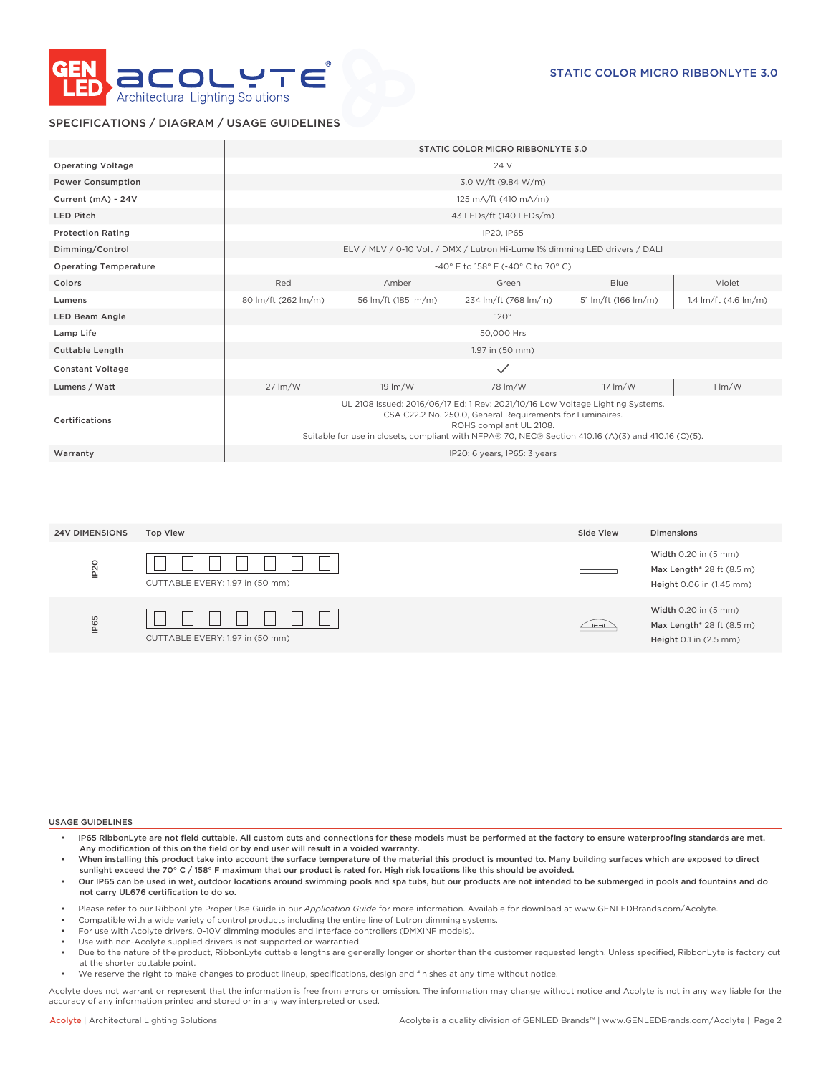

# SPECIFICATIONS / DIAGRAM / USAGE GUIDELINES

|                              |                            |                            | STATIC COLOR MICRO RIBBONLYTE 3.0                                                                                                                                                                                                                                             |                            |                           |
|------------------------------|----------------------------|----------------------------|-------------------------------------------------------------------------------------------------------------------------------------------------------------------------------------------------------------------------------------------------------------------------------|----------------------------|---------------------------|
| <b>Operating Voltage</b>     |                            |                            | 24 V                                                                                                                                                                                                                                                                          |                            |                           |
| <b>Power Consumption</b>     |                            |                            | 3.0 W/ft (9.84 W/m)                                                                                                                                                                                                                                                           |                            |                           |
| Current (mA) - 24V           |                            |                            | 125 mA/ft (410 mA/m)                                                                                                                                                                                                                                                          |                            |                           |
| <b>LED Pitch</b>             |                            |                            | 43 LEDs/ft (140 LEDs/m)                                                                                                                                                                                                                                                       |                            |                           |
| <b>Protection Rating</b>     |                            |                            | IP20, IP65                                                                                                                                                                                                                                                                    |                            |                           |
| Dimming/Control              |                            |                            | ELV / MLV / 0-10 Volt / DMX / Lutron Hi-Lume 1% dimming LED drivers / DALI                                                                                                                                                                                                    |                            |                           |
| <b>Operating Temperature</b> |                            |                            | -40° F to 158° F (-40° C to 70° C)                                                                                                                                                                                                                                            |                            |                           |
| Colors                       | Red                        | Amber                      | Green                                                                                                                                                                                                                                                                         | <b>Blue</b>                | Violet                    |
| Lumens                       | 80 lm/ft (262 lm/m)        | 56 lm/ft (185 lm/m)        | 234 lm/ft (768 lm/m)                                                                                                                                                                                                                                                          | 51 lm/ft (166 lm/m)        | 1.4 $Im/ft$ (4.6 $Im/m$ ) |
| <b>LED Beam Angle</b>        |                            |                            | 120°                                                                                                                                                                                                                                                                          |                            |                           |
| Lamp Life                    |                            |                            | 50,000 Hrs                                                                                                                                                                                                                                                                    |                            |                           |
| <b>Cuttable Length</b>       |                            |                            | 1.97 in (50 mm)                                                                                                                                                                                                                                                               |                            |                           |
| <b>Constant Voltage</b>      |                            |                            | $\checkmark$                                                                                                                                                                                                                                                                  |                            |                           |
| Lumens / Watt                | $27 \, \text{Im}/\text{W}$ | $19 \, \text{Im}/\text{W}$ | 78 lm/W                                                                                                                                                                                                                                                                       | $17 \, \text{Im}/\text{W}$ | $1 \, \text{Im}/\text{W}$ |
| Certifications               |                            |                            | UL 2108 Issued: 2016/06/17 Ed: 1 Rev: 2021/10/16 Low Voltage Lighting Systems.<br>CSA C22.2 No. 250.0, General Requirements for Luminaires.<br>ROHS compliant UL 2108.<br>Suitable for use in closets, compliant with NFPA® 70, NEC® Section 410.16 (A)(3) and 410.16 (C)(5). |                            |                           |
| Warranty                     |                            |                            | IP20: 6 years, IP65: 3 years                                                                                                                                                                                                                                                  |                            |                           |

| <b>24V DIMENSIONS</b> | <b>Top View</b>                 | Side View | Dimensions                                                                              |
|-----------------------|---------------------------------|-----------|-----------------------------------------------------------------------------------------|
| IP <sub>20</sub>      | CUTTABLE EVERY: 1.97 in (50 mm) | ____      | <b>Width 0.20 in (5 mm)</b><br>Max Length* 28 ft (8.5 m)<br>Height 0.06 in (1.45 mm)    |
| IP65                  | CUTTABLE EVERY: 1.97 in (50 mm) | mean.     | Width $0.20$ in $(5 \text{ mm})$<br>Max Length* 28 ft (8.5 m)<br>Height 0.1 in (2.5 mm) |

#### USAGE GUIDELINES

- IP65 RibbonLyte are not field cuttable. All custom cuts and connections for these models must be performed at the factory to ensure waterproofing standards are met. Any modification of this on the field or by end user will result in a voided warranty.
- When installing this product take into account the surface temperature of the material this product is mounted to. Many building surfaces which are exposed to direct sunlight exceed the 70° C / 158° F maximum that our product is rated for. High risk locations like this should be avoided.
- Our IP65 can be used in wet, outdoor locations around swimming pools and spa tubs, but our products are not intended to be submerged in pools and fountains and do not carry UL676 certification to do so.
- Please refer to our RibbonLyte Proper Use Guide in our *Application Guide* for more information. Available for download at www.GENLEDBrands.com/Acolyte.
- Compatible with a wide variety of control products including the entire line of Lutron dimming systems.
- For use with Acolyte drivers, 0-10V dimming modules and interface controllers (DMXINF models).
- Use with non-Acolyte supplied drivers is not supported or warrantied.
- Due to the nature of the product, RibbonLyte cuttable lengths are generally longer or shorter than the customer requested length. Unless specified, RibbonLyte is factory cut at the shorter cuttable point.
- We reserve the right to make changes to product lineup, specifications, design and finishes at any time without notice.

Acolyte does not warrant or represent that the information is free from errors or omission. The information may change without notice and Acolyte is not in any way liable for the accuracy of any information printed and stored or in any way interpreted or used.